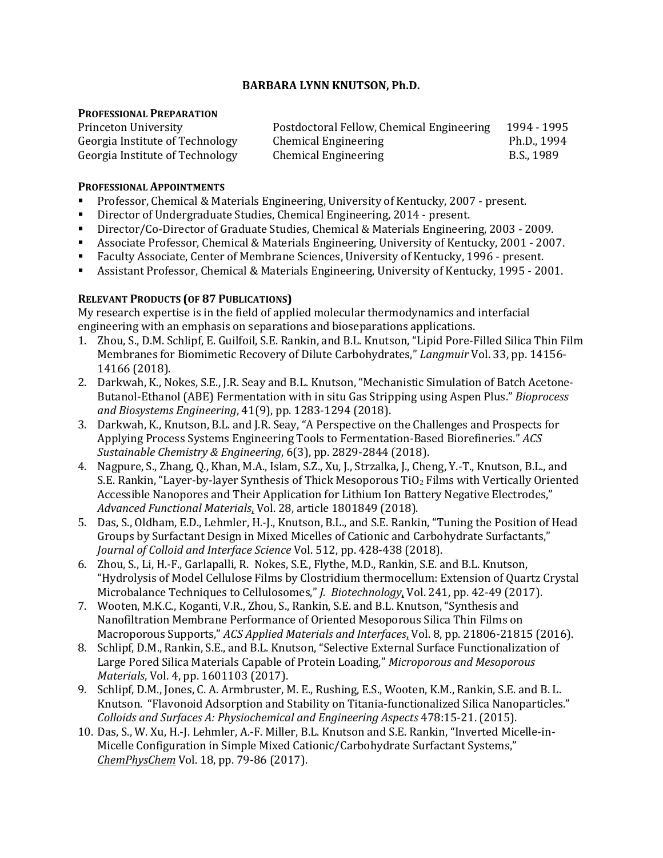# **BARBARA LYNN KNUTSON, Ph.D.**

## **PROFESSIONAL PREPARATION**

| Princeton University            | Postdoctoral Fellow, Chemical Engineering | 1994 - 1995 |
|---------------------------------|-------------------------------------------|-------------|
| Georgia Institute of Technology | Chemical Engineering                      | Ph.D., 1994 |
| Georgia Institute of Technology | <b>Chemical Engineering</b>               | B.S., 1989  |

## **PROFESSIONAL APPOINTMENTS**

- Professor, Chemical & Materials Engineering, University of Kentucky, 2007 present.<br>
Director of Undergraduate Studies, Chemical Engineering, 2014 present.
- Director of Undergraduate Studies, Chemical Engineering, 2014 present.
- Director/Co-Director of Graduate Studies, Chemical & Materials Engineering, 2003 2009.<br>■ Associate Professor, Chemical & Materials Engineering, University of Kentucky, 2001 200
- Associate Professor, Chemical & Materials Engineering, University of Kentucky, 2001 2007.<br>Faculty Associate, Center of Membrane Sciences, University of Kentucky, 1996 present.
- Faculty Associate, Center of Membrane Sciences, University of Kentucky, 1996 present.<br>Assistant Professor, Chemical & Materials Engineering, University of Kentucky, 1995 20
- Assistant Professor, Chemical & Materials Engineering, University of Kentucky, 1995 2001.

# **RELEVANT PRODUCTS (OF 87 PUBLICATIONS)**

My research expertise is in the field of applied molecular thermodynamics and interfacial engineering with an emphasis on separations and bioseparations applications.

- 1. Zhou, S., D.M. Schlipf, E. Guilfoil, S.E. Rankin, and B.L. Knutson, "Lipid Pore-Filled Silica Thin Film Membranes for Biomimetic Recovery of Dilute Carbohydrates," *Langmuir* Vol. 33, pp. 14156- 14166 (2018).
- 2. Darkwah, K., Nokes, S.E., J.R. Seay and B.L. Knutson, "Mechanistic Simulation of Batch Acetone-Butanol-Ethanol (ABE) Fermentation with in situ Gas Stripping using Aspen Plus." *Bioprocess and Biosystems Engineering*, 41(9), pp. 1283-1294 (2018).
- 3. Darkwah, K., Knutson, B.L. and J.R. Seay, "A Perspective on the Challenges and Prospects for Applying Process Systems Engineering Tools to Fermentation-Based Biorefineries." *ACS Sustainable Chemistry & Engineering*, 6(3), pp. 2829-2844 (2018).
- 4. Nagpure, S., Zhang, Q., Khan, M.A., Islam, S.Z., Xu, J., Strzalka, J., Cheng, Y.-T., Knutson, B.L., and S.E. Rankin, "Layer-by-layer Synthesis of Thick Mesoporous TiO<sub>2</sub> Films with Vertically Oriented Accessible Nanopores and Their Application for Lithium Ion Battery Negative Electrodes," *Advanced Functional Materials*, Vol. 28, article 1801849 (2018).
- 5. Das, S., Oldham, E.D., Lehmler, H.-J., Knutson, B.L., and S.E. Rankin, "Tuning the Position of Head Groups by Surfactant Design in Mixed Micelles of Cationic and Carbohydrate Surfactants," *Journal of Colloid and Interface Science* Vol. 512, pp. 428-438 (2018).
- 6. Zhou, S., Li, H.-F., Garlapalli, R. Nokes, S.E., Flythe, M.D., Rankin, S.E. and B.L. Knutson, "Hydrolysis of Model Cellulose Films by Clostridium thermocellum: Extension of Quartz Crystal Microbalance Techniques to Cellulosomes," *J. Biotechnology*, Vol. 241, pp. 42-49 (2017).
- 7. Wooten, M.K.C., Koganti, V.R., Zhou, S., Rankin, S.E. and B.L. Knutson, "Synthesis and Nanofiltration Membrane Performance of Oriented Mesoporous Silica Thin Films on Macroporous Supports," *ACS Applied Materials and Interfaces*, Vol. 8, pp. 21806-21815 (2016).
- 8. Schlipf, D.M., Rankin, S.E., and B.L. Knutson, "Selective External Surface Functionalization of Large Pored Silica Materials Capable of Protein Loading," *Microporous and Mesoporous Materials*, Vol. 4, pp. 1601103 (2017).
- 9. Schlipf, D.M., Jones, C. A. Armbruster, M. E., Rushing, E.S., Wooten, K.M., Rankin, S.E. and B. L. Knutson. "Flavonoid Adsorption and Stability on Titania-functionalized Silica Nanoparticles." *Colloids and Surfaces A: Physiochemical and Engineering Aspects* 478:15-21. (2015).
- 10. Das, S., W. Xu, H.-J. Lehmler, A.-F. Miller, B.L. Knutson and S.E. Rankin, "Inverted Micelle-in-Micelle Configuration in Simple Mixed Cationic/Carbohydrate Surfactant Systems," *ChemPhysChem* Vol. 18, pp. 79-86 (2017).